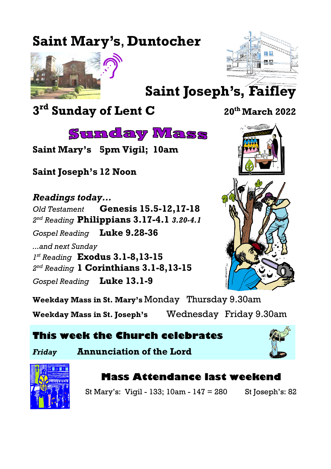# **Saint Mary's**, **Duntocher**





# **Saint Joseph's, Faifley**

**3 rd Sunday of Lent C <sup>20</sup>th March 2022**



**Saint Mary's 5pm Vigil; 10am**

**Saint Joseph's 12 Noon**

*Readings today... Old Testament* **Genesis 15.5-12,17-18** *2 nd Reading* **Philippians 3.17-4.1** *3.20-4.1 Gospel Reading* **Luke 9.28-36** *...and next Sunday 1 st Reading* **Exodus 3.1-8,13-15** *2 nd Reading* **1 Corinthians 3.1-8,13-15** *Gospel Reading* **Luke 13.1-9**



**Weekday Mass in St. Mary's** Monday Thursday 9.30am **Weekday Mass in St. Joseph's** Wednesday Friday 9.30am

# **This week the Church celebrates**

*Friday* **Annunciation of the Lord**



# **Mass Attendance last weekend**

St Mary's: Vigil - 133; 10am - 147 = 280 St Joseph's: 82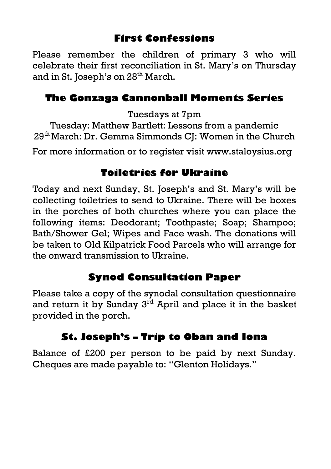# **First Confessions**

Please remember the children of primary 3 who will celebrate their first reconciliation in St. Mary's on Thursday and in St. Joseph's on 28<sup>th</sup> March.

# **The Gonzaga Cannonball Moments Series**

Tuesdays at 7pm

Tuesday: Matthew Bartlett: Lessons from a pandemic 29th March: Dr. Gemma Simmonds CJ: Women in the Church

For more information or to register visit [www.staloysius.org](http://www.staloysius.org)

# **Toiletries for Ukraine**

Today and next Sunday, St. Joseph's and St. Mary's will be collecting toiletries to send to Ukraine. There will be boxes in the porches of both churches where you can place the following items: Deodorant; Toothpaste; Soap; Shampoo; Bath/Shower Gel; Wipes and Face wash. The donations will be taken to Old Kilpatrick Food Parcels who will arrange for the onward transmission to Ukraine.

# **Synod Consultation Paper**

Please take a copy of the synodal consultation questionnaire and return it by Sunday 3<sup>rd</sup> April and place it in the basket provided in the porch.

# **St. Joseph's – Trip to Oban and Iona**

Balance of £200 per person to be paid by next Sunday. Cheques are made payable to: "Glenton Holidays."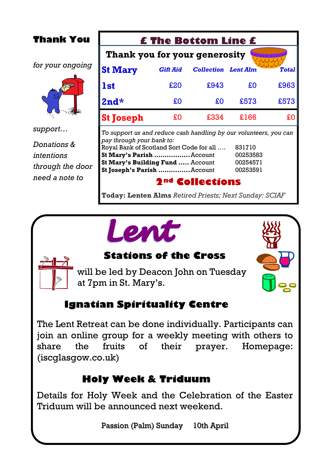| <b>Thank You</b>                              | <b>£ The Bottom Line £</b>                                                                                                                                                                                                                                                              |                 |                            |      |              |  |  |
|-----------------------------------------------|-----------------------------------------------------------------------------------------------------------------------------------------------------------------------------------------------------------------------------------------------------------------------------------------|-----------------|----------------------------|------|--------------|--|--|
|                                               | Thank you for your generosity                                                                                                                                                                                                                                                           |                 |                            |      |              |  |  |
| for your ongoing                              | <b>St Mary</b>                                                                                                                                                                                                                                                                          | <b>Gift Aid</b> | <b>Collection</b> Lent Alm |      | <b>Total</b> |  |  |
|                                               | lst                                                                                                                                                                                                                                                                                     | £20             | £943                       | £O   | £963         |  |  |
|                                               | $2nd*$                                                                                                                                                                                                                                                                                  | £O              | £O                         | £573 | £573         |  |  |
|                                               | <b>St Joseph</b>                                                                                                                                                                                                                                                                        | £O              | £334                       | £166 | £0           |  |  |
| support                                       | To support us and reduce cash handling by our volunteers, you can<br>pay through your bank to:<br>Royal Bank of Scotland Sort Code for all<br>831710<br>St Mary's Parish Account<br>00253583<br>St Mary's Building Fund  Account<br>00254571<br>St Joseph's Parish  Account<br>00253591 |                 |                            |      |              |  |  |
| Donations &<br>intentions<br>through the door |                                                                                                                                                                                                                                                                                         |                 |                            |      |              |  |  |
| need a note to                                | Eollections                                                                                                                                                                                                                                                                             |                 |                            |      |              |  |  |

**Today: Lenten Alms** *Retired Priests; Next Sunday: SCIAF*

# Lent

# **Stations of the Cross**

will be led by Deacon John on Tuesday at 7pm in St. Mary's.

# **Ignatian Spirituality Centre**

The Lent Retreat can be done individually. Participants can join an online group for a weekly meeting with others to share the fruits of their prayer. [Homepage:](https://iscglasgow.co.uk/)  [\(iscglasgow.co.uk\)](https://iscglasgow.co.uk/)

# **Holy Week & Triduum**

Details for Holy Week and the Celebration of the Easter Triduum will be announced next weekend.

Passion (Palm) Sunday 10th April